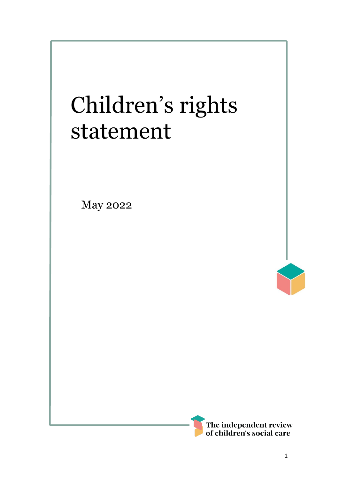# Children's rights statement

May 2022



I

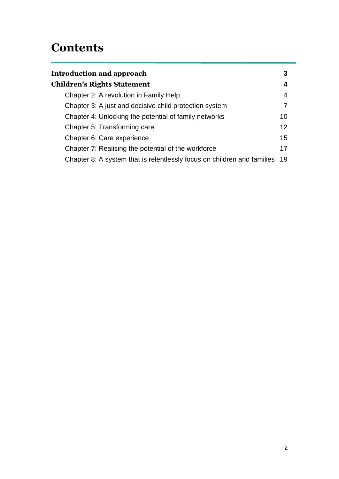### **Contents**

| Introduction and approach                                                  | 3  |
|----------------------------------------------------------------------------|----|
| <b>Children's Rights Statement</b>                                         | 4  |
| Chapter 2: A revolution in Family Help                                     | 4  |
| Chapter 3: A just and decisive child protection system                     |    |
| Chapter 4: Unlocking the potential of family networks                      | 10 |
| Chapter 5: Transforming care                                               | 12 |
| Chapter 6: Care experience                                                 | 15 |
| Chapter 7: Realising the potential of the workforce                        | 17 |
| Chapter 8: A system that is relentlessly focus on children and families 19 |    |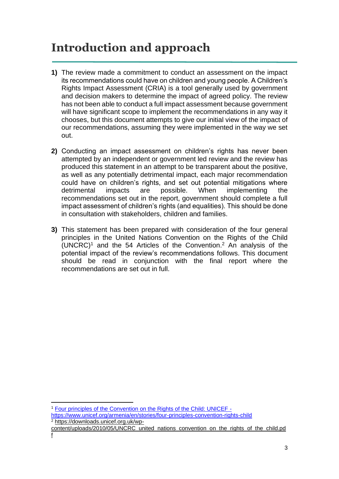# <span id="page-2-0"></span>**Introduction and approach**

- **1)** The review made a commitment to conduct an assessment on the impact its recommendations could have on children and young people. A Children's Rights Impact Assessment (CRIA) is a tool generally used by government and decision makers to determine the impact of agreed policy. The review has not been able to conduct a full impact assessment because government will have significant scope to implement the recommendations in any way it chooses, but this document attempts to give our initial view of the impact of our recommendations, assuming they were implemented in the way we set out.
- **2)** Conducting an impact assessment on children's rights has never been attempted by an independent or government led review and the review has produced this statement in an attempt to be transparent about the positive, as well as any potentially detrimental impact, each major recommendation could have on children's rights, and set out potential mitigations where detrimental impacts are possible. When implementing the recommendations set out in the report, government should complete a full impact assessment of children's rights (and equalities). This should be done in consultation with stakeholders, children and families.
- **3)** This statement has been prepared with consideration of the four general principles in the United Nations Convention on the Rights of the Child  $(UNERC)^1$  and the 54 Articles of the Convention.<sup>2</sup> An analysis of the potential impact of the review's recommendations follows. This document should be read in conjunction with the final report where the recommendations are set out in full.

<sup>1</sup> [Four principles of the Convention on the Rights of the Child: UNICEF](https://www.unicef.org/armenia/en/stories/four-principles-convention-rights-child)  <https://www.unicef.org/armenia/en/stories/four-principles-convention-rights-child> <sup>2</sup> [https://downloads.unicef.org.uk/wp-](https://downloads.unicef.org.uk/wp-content/uploads/2010/05/UNCRC_united_nations_convention_on_the_rights_of_the_child.pdf)

[content/uploads/2010/05/UNCRC\\_united\\_nations\\_convention\\_on\\_the\\_rights\\_of\\_the\\_child.pd](https://downloads.unicef.org.uk/wp-content/uploads/2010/05/UNCRC_united_nations_convention_on_the_rights_of_the_child.pdf) [f](https://downloads.unicef.org.uk/wp-content/uploads/2010/05/UNCRC_united_nations_convention_on_the_rights_of_the_child.pdf)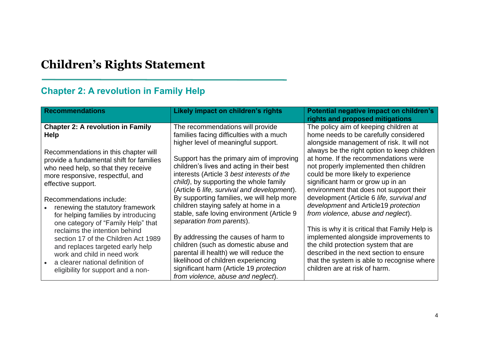## **Children's Rights Statement**

#### **Chapter 2: A revolution in Family Help**

<span id="page-3-1"></span><span id="page-3-0"></span>

| <b>Recommendations</b>                                                                                                                                                                                                                                                                                                         | Likely impact on children's rights                                                                                                                                                                                                                                                                                                                                                            | Potential negative impact on children's<br>rights and proposed mitigations                                                                                                                                                                                                                                                                                                                                                       |
|--------------------------------------------------------------------------------------------------------------------------------------------------------------------------------------------------------------------------------------------------------------------------------------------------------------------------------|-----------------------------------------------------------------------------------------------------------------------------------------------------------------------------------------------------------------------------------------------------------------------------------------------------------------------------------------------------------------------------------------------|----------------------------------------------------------------------------------------------------------------------------------------------------------------------------------------------------------------------------------------------------------------------------------------------------------------------------------------------------------------------------------------------------------------------------------|
| <b>Chapter 2: A revolution in Family</b><br><b>Help</b>                                                                                                                                                                                                                                                                        | The recommendations will provide<br>families facing difficulties with a much<br>higher level of meaningful support.                                                                                                                                                                                                                                                                           | The policy aim of keeping children at<br>home needs to be carefully considered<br>alongside management of risk. It will not                                                                                                                                                                                                                                                                                                      |
| Recommendations in this chapter will<br>provide a fundamental shift for families<br>who need help, so that they receive<br>more responsive, respectful, and<br>effective support.<br>Recommendations include:<br>renewing the statutory framework<br>for helping families by introducing<br>one category of "Family Help" that | Support has the primary aim of improving<br>children's lives and acting in their best<br>interests (Article 3 best interests of the<br>child), by supporting the whole family<br>(Article 6 life, survival and development).<br>By supporting families, we will help more<br>children staying safely at home in a<br>stable, safe loving environment (Article 9)<br>separation from parents). | always be the right option to keep children<br>at home. If the recommendations were<br>not properly implemented then children<br>could be more likely to experience<br>significant harm or grow up in an<br>environment that does not support their<br>development (Article 6 life, survival and<br>development and Article19 protection<br>from violence, abuse and neglect).<br>This is why it is critical that Family Help is |
| reclaims the intention behind<br>section 17 of the Children Act 1989<br>and replaces targeted early help<br>work and child in need work<br>a clearer national definition of<br>eligibility for support and a non-                                                                                                              | By addressing the causes of harm to<br>children (such as domestic abuse and<br>parental ill health) we will reduce the<br>likelihood of children experiencing<br>significant harm (Article 19 protection<br>from violence, abuse and neglect).                                                                                                                                                | implemented alongside improvements to<br>the child protection system that are<br>described in the next section to ensure<br>that the system is able to recognise where<br>children are at risk of harm.                                                                                                                                                                                                                          |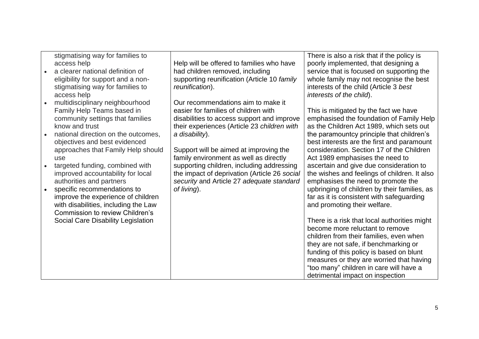| stigmatising way for families to<br>access help<br>a clearer national definition of<br>eligibility for support and a non-<br>stigmatising way for families to<br>access help | Help will be offered to families who have<br>had children removed, including<br>supporting reunification (Article 10 family<br>reunification).                          | There is also a risk that if the policy is<br>poorly implemented, that designing a<br>service that is focused on supporting the<br>whole family may not recognise the best<br>interests of the child (Article 3 best<br>interests of the child). |
|------------------------------------------------------------------------------------------------------------------------------------------------------------------------------|-------------------------------------------------------------------------------------------------------------------------------------------------------------------------|--------------------------------------------------------------------------------------------------------------------------------------------------------------------------------------------------------------------------------------------------|
| multidisciplinary neighbourhood<br>Family Help Teams based in<br>community settings that families<br>know and trust                                                          | Our recommendations aim to make it<br>easier for families of children with<br>disabilities to access support and improve<br>their experiences (Article 23 children with | This is mitigated by the fact we have<br>emphasised the foundation of Family Help<br>as the Children Act 1989, which sets out                                                                                                                    |
| national direction on the outcomes,<br>objectives and best evidenced<br>approaches that Family Help should<br>use                                                            | a disability).<br>Support will be aimed at improving the<br>family environment as well as directly                                                                      | the paramountcy principle that children's<br>best interests are the first and paramount<br>consideration. Section 17 of the Children<br>Act 1989 emphasises the need to                                                                          |
| targeted funding, combined with<br>improved accountability for local<br>authorities and partners                                                                             | supporting children, including addressing<br>the impact of deprivation (Article 26 social<br>security and Article 27 adequate standard                                  | ascertain and give due consideration to<br>the wishes and feelings of children. It also<br>emphasises the need to promote the                                                                                                                    |
| specific recommendations to<br>improve the experience of children<br>with disabilities, including the Law<br><b>Commission to review Children's</b>                          | of living).                                                                                                                                                             | upbringing of children by their families, as<br>far as it is consistent with safeguarding<br>and promoting their welfare.                                                                                                                        |
| Social Care Disability Legislation                                                                                                                                           |                                                                                                                                                                         | There is a risk that local authorities might<br>become more reluctant to remove<br>children from their families, even when<br>they are not safe, if benchmarking or                                                                              |
|                                                                                                                                                                              |                                                                                                                                                                         | funding of this policy is based on blunt<br>measures or they are worried that having<br>"too many" children in care will have a<br>detrimental impact on inspection                                                                              |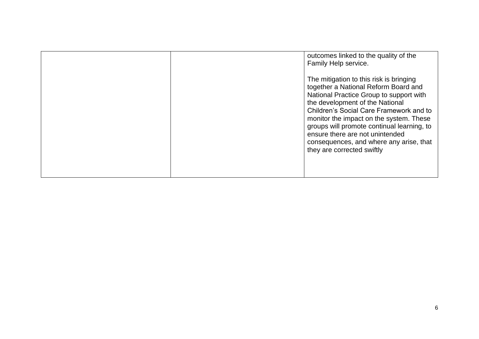<span id="page-5-0"></span>

|  | outcomes linked to the quality of the<br>Family Help service.                                                                                                                                                                                                                                                                                                                                                 |
|--|---------------------------------------------------------------------------------------------------------------------------------------------------------------------------------------------------------------------------------------------------------------------------------------------------------------------------------------------------------------------------------------------------------------|
|  | The mitigation to this risk is bringing<br>together a National Reform Board and<br>National Practice Group to support with<br>the development of the National<br>Children's Social Care Framework and to<br>monitor the impact on the system. These<br>groups will promote continual learning, to<br>ensure there are not unintended<br>consequences, and where any arise, that<br>they are corrected swiftly |
|  |                                                                                                                                                                                                                                                                                                                                                                                                               |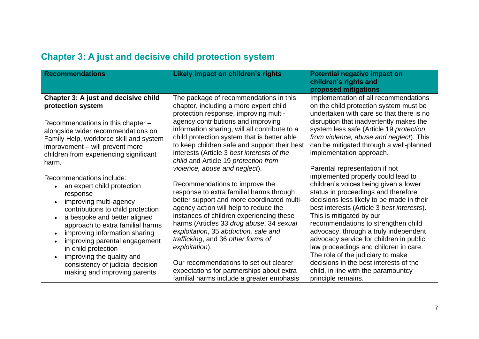| <b>Recommendations</b>                                                                                                                                                                                                                                                                                                                                                                                                    | Likely impact on children's rights                                                                                                                                                                                                                                                                                                                                                                                                                                                            | <b>Potential negative impact on</b><br>children's rights and<br>proposed mitigations                                                                                                                                                                                                                                                                                                                                                                                                                                                                      |
|---------------------------------------------------------------------------------------------------------------------------------------------------------------------------------------------------------------------------------------------------------------------------------------------------------------------------------------------------------------------------------------------------------------------------|-----------------------------------------------------------------------------------------------------------------------------------------------------------------------------------------------------------------------------------------------------------------------------------------------------------------------------------------------------------------------------------------------------------------------------------------------------------------------------------------------|-----------------------------------------------------------------------------------------------------------------------------------------------------------------------------------------------------------------------------------------------------------------------------------------------------------------------------------------------------------------------------------------------------------------------------------------------------------------------------------------------------------------------------------------------------------|
| <b>Chapter 3: A just and decisive child</b><br>protection system<br>Recommendations in this chapter -<br>alongside wider recommendations on<br>Family Help, workforce skill and system<br>improvement - will prevent more<br>children from experiencing significant<br>harm.                                                                                                                                              | The package of recommendations in this<br>chapter, including a more expert child<br>protection response, improving multi-<br>agency contributions and improving<br>information sharing, will all contribute to a<br>child protection system that is better able<br>to keep children safe and support their best<br>interests (Article 3 best interests of the<br>child and Article 19 protection from<br>violence, abuse and neglect).                                                        | Implementation of all recommendations<br>on the child protection system must be<br>undertaken with care so that there is no<br>disruption that inadvertently makes the<br>system less safe (Article 19 protection<br>from violence, abuse and neglect). This<br>can be mitigated through a well-planned<br>implementation approach.<br>Parental representation if not                                                                                                                                                                                     |
| Recommendations include:<br>an expert child protection<br>response<br>improving multi-agency<br>contributions to child protection<br>a bespoke and better aligned<br>approach to extra familial harms<br>improving information sharing<br>$\bullet$<br>improving parental engagement<br>$\bullet$<br>in child protection<br>improving the quality and<br>consistency of judicial decision<br>making and improving parents | Recommendations to improve the<br>response to extra familial harms through<br>better support and more coordinated multi-<br>agency action will help to reduce the<br>instances of children experiencing these<br>harms (Articles 33 drug abuse, 34 sexual<br>exploitation, 35 abduction, sale and<br>trafficking, and 36 other forms of<br>exploitation).<br>Our recommendations to set out clearer<br>expectations for partnerships about extra<br>familial harms include a greater emphasis | implemented properly could lead to<br>children's voices being given a lower<br>status in proceedings and therefore<br>decisions less likely to be made in their<br>best interests (Article 3 best interests).<br>This is mitigated by our<br>recommendations to strengthen child<br>advocacy, through a truly independent<br>advocacy service for children in public<br>law proceedings and children in care.<br>The role of the judiciary to make<br>decisions in the best interests of the<br>child, in line with the paramountcy<br>principle remains. |

#### **Chapter 3: A just and decisive child protection system**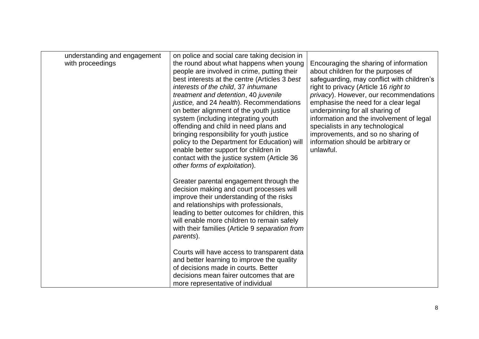| understanding and engagement<br>with proceedings | on police and social care taking decision in<br>the round about what happens when young<br>people are involved in crime, putting their<br>best interests at the centre (Articles 3 best<br>interests of the child, 37 inhumane<br>treatment and detention, 40 juvenile<br>justice, and 24 health). Recommendations<br>on better alignment of the youth justice<br>system (including integrating youth<br>offending and child in need plans and<br>bringing responsibility for youth justice<br>policy to the Department for Education) will<br>enable better support for children in<br>contact with the justice system (Article 36<br>other forms of exploitation).<br>Greater parental engagement through the<br>decision making and court processes will | Encouraging the sharing of information<br>about children for the purposes of<br>safeguarding, may conflict with children's<br>right to privacy (Article 16 right to<br>privacy). However, our recommendations<br>emphasise the need for a clear legal<br>underpinning for all sharing of<br>information and the involvement of legal<br>specialists in any technological<br>improvements, and so no sharing of<br>information should be arbitrary or<br>unlawful. |
|--------------------------------------------------|-------------------------------------------------------------------------------------------------------------------------------------------------------------------------------------------------------------------------------------------------------------------------------------------------------------------------------------------------------------------------------------------------------------------------------------------------------------------------------------------------------------------------------------------------------------------------------------------------------------------------------------------------------------------------------------------------------------------------------------------------------------|-------------------------------------------------------------------------------------------------------------------------------------------------------------------------------------------------------------------------------------------------------------------------------------------------------------------------------------------------------------------------------------------------------------------------------------------------------------------|
|                                                  | improve their understanding of the risks<br>and relationships with professionals,<br>leading to better outcomes for children, this<br>will enable more children to remain safely<br>with their families (Article 9 separation from<br>parents).                                                                                                                                                                                                                                                                                                                                                                                                                                                                                                             |                                                                                                                                                                                                                                                                                                                                                                                                                                                                   |
|                                                  | Courts will have access to transparent data<br>and better learning to improve the quality<br>of decisions made in courts. Better<br>decisions mean fairer outcomes that are<br>more representative of individual                                                                                                                                                                                                                                                                                                                                                                                                                                                                                                                                            |                                                                                                                                                                                                                                                                                                                                                                                                                                                                   |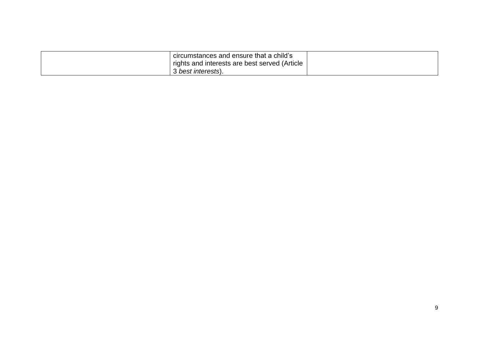<span id="page-8-0"></span>

| circumstances and ensure that a child's<br>rights and interests are best served (Article |  |
|------------------------------------------------------------------------------------------|--|
| best interests).                                                                         |  |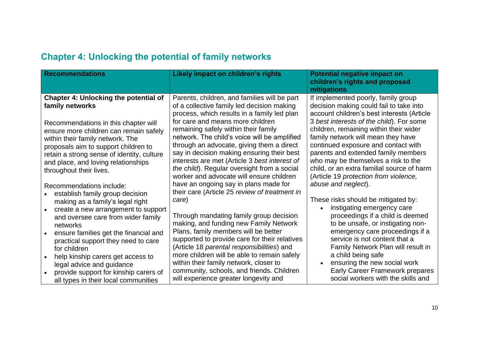| <b>Recommendations</b>                                                                                                                                                                                                                                                                                                                                                                                              | Likely impact on children's rights                                                                                                                                                                                                                                                                                                                                                                                                                                                                                                                                                                     | <b>Potential negative impact on</b><br>children's rights and proposed<br>mitigations                                                                                                                                                                                                                                                                                                                                                                                                        |
|---------------------------------------------------------------------------------------------------------------------------------------------------------------------------------------------------------------------------------------------------------------------------------------------------------------------------------------------------------------------------------------------------------------------|--------------------------------------------------------------------------------------------------------------------------------------------------------------------------------------------------------------------------------------------------------------------------------------------------------------------------------------------------------------------------------------------------------------------------------------------------------------------------------------------------------------------------------------------------------------------------------------------------------|---------------------------------------------------------------------------------------------------------------------------------------------------------------------------------------------------------------------------------------------------------------------------------------------------------------------------------------------------------------------------------------------------------------------------------------------------------------------------------------------|
| <b>Chapter 4: Unlocking the potential of</b><br>family networks<br>Recommendations in this chapter will<br>ensure more children can remain safely<br>within their family network. The<br>proposals aim to support children to<br>retain a strong sense of identity, culture<br>and place, and loving relationships<br>throughout their lives.<br>Recommendations include:<br>establish family group decision        | Parents, children, and families will be part<br>of a collective family led decision making<br>process, which results in a family led plan<br>for care and means more children<br>remaining safely within their family<br>network. The child's voice will be amplified<br>through an advocate, giving them a direct<br>say in decision making ensuring their best<br>interests are met (Article 3 best interest of<br>the child). Regular oversight from a social<br>worker and advocate will ensure children<br>have an ongoing say in plans made for<br>their care (Article 25 review of treatment in | If implemented poorly, family group<br>decision making could fail to take into<br>account children's best interests (Article<br>3 best interests of the child). For some<br>children, remaining within their wider<br>family network will mean they have<br>continued exposure and contact with<br>parents and extended family members<br>who may be themselves a risk to the<br>child, or an extra familial source of harm<br>(Article 19 protection from violence,<br>abuse and neglect). |
| making as a family's legal right<br>create a new arrangement to support<br>$\bullet$<br>and oversee care from wider family<br>networks<br>ensure families get the financial and<br>practical support they need to care<br>for children<br>help kinship carers get access to<br>$\bullet$<br>legal advice and guidance<br>provide support for kinship carers of<br>$\bullet$<br>all types in their local communities | care)<br>Through mandating family group decision<br>making, and funding new Family Network<br>Plans, family members will be better<br>supported to provide care for their relatives<br>(Article 18 parental responsibilities) and<br>more children will be able to remain safely<br>within their family network, closer to<br>community, schools, and friends. Children<br>will experience greater longevity and                                                                                                                                                                                       | These risks should be mitigated by:<br>instigating emergency care<br>proceedings if a child is deemed<br>to be unsafe, or instigating non-<br>emergency care proceedings if a<br>service is not content that a<br>Family Network Plan will result in<br>a child being safe<br>ensuring the new social work<br>Early Career Framework prepares<br>social workers with the skills and                                                                                                         |

#### **Chapter 4: Unlocking the potential of family networks**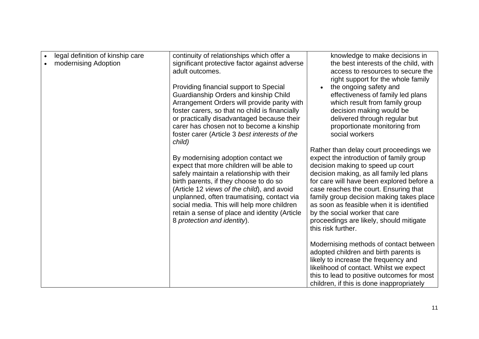| legal definition of kinship care<br>modernising Adoption | continuity of relationships which offer a<br>significant protective factor against adverse<br>adult outcomes.<br>Providing financial support to Special                                                                                                                                                                                                                                                    | knowledge to make decisions in<br>the best interests of the child, with<br>access to resources to secure the<br>right support for the whole family<br>the ongoing safety and                                                                                                                                                                                                                                                                         |
|----------------------------------------------------------|------------------------------------------------------------------------------------------------------------------------------------------------------------------------------------------------------------------------------------------------------------------------------------------------------------------------------------------------------------------------------------------------------------|------------------------------------------------------------------------------------------------------------------------------------------------------------------------------------------------------------------------------------------------------------------------------------------------------------------------------------------------------------------------------------------------------------------------------------------------------|
|                                                          | Guardianship Orders and kinship Child<br>Arrangement Orders will provide parity with<br>foster carers, so that no child is financially<br>or practically disadvantaged because their<br>carer has chosen not to become a kinship<br>foster carer (Article 3 best interests of the                                                                                                                          | effectiveness of family led plans<br>which result from family group<br>decision making would be<br>delivered through regular but<br>proportionate monitoring from<br>social workers                                                                                                                                                                                                                                                                  |
|                                                          | child)<br>By modernising adoption contact we<br>expect that more children will be able to<br>safely maintain a relationship with their<br>birth parents, if they choose to do so<br>(Article 12 views of the child), and avoid<br>unplanned, often traumatising, contact via<br>social media. This will help more children<br>retain a sense of place and identity (Article<br>8 protection and identity). | Rather than delay court proceedings we<br>expect the introduction of family group<br>decision making to speed up court<br>decision making, as all family led plans<br>for care will have been explored before a<br>case reaches the court. Ensuring that<br>family group decision making takes place<br>as soon as feasible when it is identified<br>by the social worker that care<br>proceedings are likely, should mitigate<br>this risk further. |
|                                                          |                                                                                                                                                                                                                                                                                                                                                                                                            | Modernising methods of contact between<br>adopted children and birth parents is<br>likely to increase the frequency and<br>likelihood of contact. Whilst we expect<br>this to lead to positive outcomes for most<br>children, if this is done inappropriately                                                                                                                                                                                        |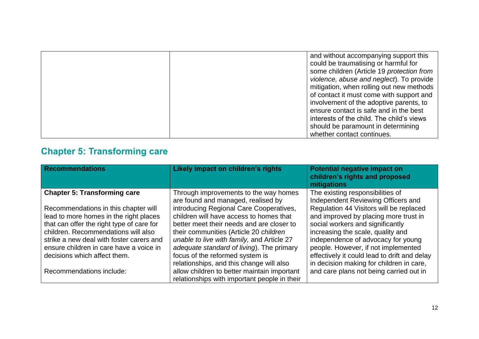| and without accompanying support this     |
|-------------------------------------------|
| could be traumatising or harmful for      |
| some children (Article 19 protection from |
| violence, abuse and neglect). To provide  |
| mitigation, when rolling out new methods  |
| of contact it must come with support and  |
| involvement of the adoptive parents, to   |
| ensure contact is safe and in the best    |
| interests of the child. The child's views |
| should be paramount in determining        |
| whether contact continues.                |

#### **Chapter 5: Transforming care**

<span id="page-11-0"></span>

| <b>Recommendations</b>                    | Likely impact on children's rights           | Potential negative impact on<br>children's rights and proposed<br>mitigations |
|-------------------------------------------|----------------------------------------------|-------------------------------------------------------------------------------|
| <b>Chapter 5: Transforming care</b>       | Through improvements to the way homes        | The existing responsibilities of                                              |
|                                           | are found and managed, realised by           | Independent Reviewing Officers and                                            |
| Recommendations in this chapter will      | introducing Regional Care Cooperatives,      | Regulation 44 Visitors will be replaced                                       |
| lead to more homes in the right places    | children will have access to homes that      | and improved by placing more trust in                                         |
| that can offer the right type of care for | better meet their needs and are closer to    | social workers and significantly                                              |
| children. Recommendations will also       | their communities (Article 20 children       | increasing the scale, quality and                                             |
| strike a new deal with foster carers and  | unable to live with family, and Article 27   | independence of advocacy for young                                            |
| ensure children in care have a voice in   | adequate standard of living). The primary    | people. However, if not implemented                                           |
| decisions which affect them.              | focus of the reformed system is              | effectively it could lead to drift and delay                                  |
|                                           | relationships, and this change will also     | in decision making for children in care,                                      |
| Recommendations include:                  | allow children to better maintain important  | and care plans not being carried out in                                       |
|                                           | relationships with important people in their |                                                                               |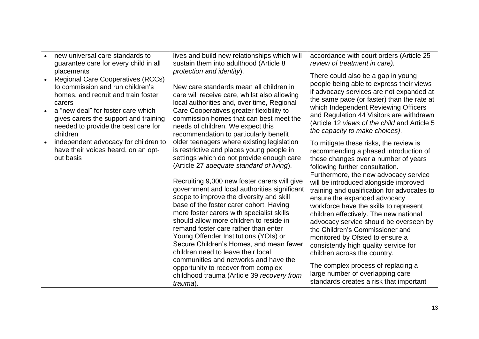| new universal care standards to<br>guarantee care for every child in all                                                                                                                                                                                                      | lives and build new relationships which will<br>sustain them into adulthood (Article 8                                                                                                                                                                                                                                                                                                                                                                                                                                                                                                                                                                                                                                                                                       | accordance with court orders (Article 25<br>review of treatment in care).                                                                                                                                                                                                                                                                                                                                                                                                                                                                                                                                                                                                                                                     |
|-------------------------------------------------------------------------------------------------------------------------------------------------------------------------------------------------------------------------------------------------------------------------------|------------------------------------------------------------------------------------------------------------------------------------------------------------------------------------------------------------------------------------------------------------------------------------------------------------------------------------------------------------------------------------------------------------------------------------------------------------------------------------------------------------------------------------------------------------------------------------------------------------------------------------------------------------------------------------------------------------------------------------------------------------------------------|-------------------------------------------------------------------------------------------------------------------------------------------------------------------------------------------------------------------------------------------------------------------------------------------------------------------------------------------------------------------------------------------------------------------------------------------------------------------------------------------------------------------------------------------------------------------------------------------------------------------------------------------------------------------------------------------------------------------------------|
| placements<br><b>Regional Care Cooperatives (RCCs)</b><br>to commission and run children's<br>homes, and recruit and train foster<br>carers<br>a "new deal" for foster care which<br>gives carers the support and training<br>needed to provide the best care for<br>children | protection and identity).<br>New care standards mean all children in<br>care will receive care, whilst also allowing<br>local authorities and, over time, Regional<br>Care Cooperatives greater flexibility to<br>commission homes that can best meet the<br>needs of children. We expect this<br>recommendation to particularly benefit                                                                                                                                                                                                                                                                                                                                                                                                                                     | There could also be a gap in young<br>people being able to express their views<br>if advocacy services are not expanded at<br>the same pace (or faster) than the rate at<br>which Independent Reviewing Officers<br>and Regulation 44 Visitors are withdrawn<br>(Article 12 views of the child and Article 5<br>the capacity to make choices).                                                                                                                                                                                                                                                                                                                                                                                |
| independent advocacy for children to<br>have their voices heard, on an opt-<br>out basis                                                                                                                                                                                      | older teenagers where existing legislation<br>is restrictive and places young people in<br>settings which do not provide enough care<br>(Article 27 adequate standard of living).<br>Recruiting 9,000 new foster carers will give<br>government and local authorities significant<br>scope to improve the diversity and skill<br>base of the foster carer cohort. Having<br>more foster carers with specialist skills<br>should allow more children to reside in<br>remand foster care rather than enter<br>Young Offender Institutions (YOIs) or<br>Secure Children's Homes, and mean fewer<br>children need to leave their local<br>communities and networks and have the<br>opportunity to recover from complex<br>childhood trauma (Article 39 recovery from<br>trauma). | To mitigate these risks, the review is<br>recommending a phased introduction of<br>these changes over a number of years<br>following further consultation.<br>Furthermore, the new advocacy service<br>will be introduced alongside improved<br>training and qualification for advocates to<br>ensure the expanded advocacy<br>workforce have the skills to represent<br>children effectively. The new national<br>advocacy service should be overseen by<br>the Children's Commissioner and<br>monitored by Ofsted to ensure a<br>consistently high quality service for<br>children across the country.<br>The complex process of replacing a<br>large number of overlapping care<br>standards creates a risk that important |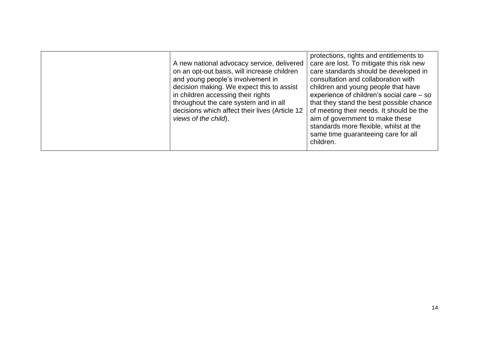<span id="page-13-0"></span>

| A new national advocacy service, delivered<br>on an opt-out basis, will increase children<br>and young people's involvement in<br>decision making. We expect this to assist<br>in children accessing their rights<br>throughout the care system and in all<br>decisions which affect their lives (Article 12<br>views of the child). | protections, rights and entitlements to<br>care are lost. To mitigate this risk new<br>care standards should be developed in<br>consultation and collaboration with<br>children and young people that have<br>experience of children's social care - so<br>that they stand the best possible chance<br>of meeting their needs. It should be the<br>aim of government to make these<br>standards more flexible, whilst at the<br>same time guaranteeing care for all<br>children. |
|--------------------------------------------------------------------------------------------------------------------------------------------------------------------------------------------------------------------------------------------------------------------------------------------------------------------------------------|----------------------------------------------------------------------------------------------------------------------------------------------------------------------------------------------------------------------------------------------------------------------------------------------------------------------------------------------------------------------------------------------------------------------------------------------------------------------------------|
|                                                                                                                                                                                                                                                                                                                                      |                                                                                                                                                                                                                                                                                                                                                                                                                                                                                  |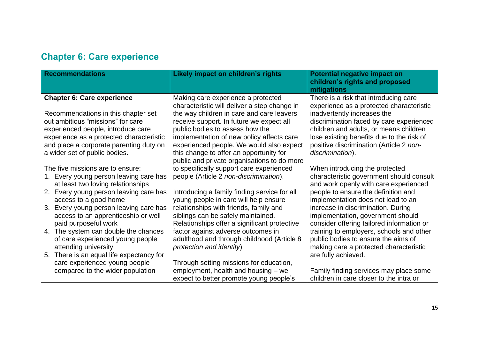#### **Chapter 6: Care experience**

| <b>Recommendations</b>                                                                                                                                                                                                                                                                                                                                                                                                                                  | Likely impact on children's rights                                                                                                                                                                                                                                                                                                                                                                                          | <b>Potential negative impact on</b><br>children's rights and proposed<br>mitigations                                                                                                                                                                                                                                                                                                                                                                                         |
|---------------------------------------------------------------------------------------------------------------------------------------------------------------------------------------------------------------------------------------------------------------------------------------------------------------------------------------------------------------------------------------------------------------------------------------------------------|-----------------------------------------------------------------------------------------------------------------------------------------------------------------------------------------------------------------------------------------------------------------------------------------------------------------------------------------------------------------------------------------------------------------------------|------------------------------------------------------------------------------------------------------------------------------------------------------------------------------------------------------------------------------------------------------------------------------------------------------------------------------------------------------------------------------------------------------------------------------------------------------------------------------|
| <b>Chapter 6: Care experience</b><br>Recommendations in this chapter set<br>out ambitious "missions" for care<br>experienced people, introduce care<br>experience as a protected characteristic<br>and place a corporate parenting duty on<br>a wider set of public bodies.                                                                                                                                                                             | Making care experience a protected<br>characteristic will deliver a step change in<br>the way children in care and care leavers<br>receive support. In future we expect all<br>public bodies to assess how the<br>implementation of new policy affects care<br>experienced people. We would also expect<br>this change to offer an opportunity for<br>public and private organisations to do more                           | There is a risk that introducing care<br>experience as a protected characteristic<br>inadvertently increases the<br>discrimination faced by care experienced<br>children and adults, or means children<br>lose existing benefits due to the risk of<br>positive discrimination (Article 2 non-<br>discrimination).                                                                                                                                                           |
| The five missions are to ensure:<br>Every young person leaving care has<br>1.<br>at least two loving relationships<br>Every young person leaving care has<br>2.<br>access to a good home<br>Every young person leaving care has<br>3.<br>access to an apprenticeship or well<br>paid purposeful work<br>4. The system can double the chances<br>of care experienced young people<br>attending university<br>There is an equal life expectancy for<br>5. | to specifically support care experienced<br>people (Article 2 non-discrimination).<br>Introducing a family finding service for all<br>young people in care will help ensure<br>relationships with friends, family and<br>siblings can be safely maintained.<br>Relationships offer a significant protective<br>factor against adverse outcomes in<br>adulthood and through childhood (Article 8<br>protection and identity) | When introducing the protected<br>characteristic government should consult<br>and work openly with care experienced<br>people to ensure the definition and<br>implementation does not lead to an<br>increase in discrimination. During<br>implementation, government should<br>consider offering tailored information or<br>training to employers, schools and other<br>public bodies to ensure the aims of<br>making care a protected characteristic<br>are fully achieved. |
| care experienced young people<br>compared to the wider population                                                                                                                                                                                                                                                                                                                                                                                       | Through setting missions for education,<br>employment, health and housing – we<br>expect to better promote young people's                                                                                                                                                                                                                                                                                                   | Family finding services may place some<br>children in care closer to the intra or                                                                                                                                                                                                                                                                                                                                                                                            |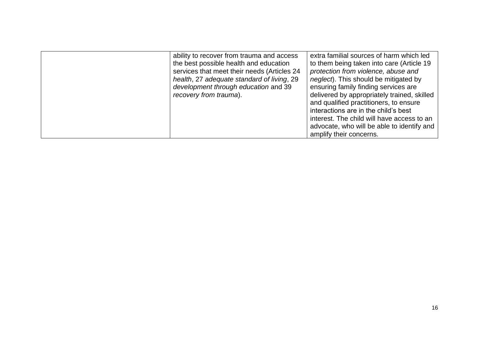<span id="page-15-0"></span>

| ability to recover from trauma and access<br>the best possible health and education<br>services that meet their needs (Articles 24<br>health, 27 adequate standard of living, 29<br>development through education and 39<br>recovery from trauma). | extra familial sources of harm which led<br>to them being taken into care (Article 19<br>protection from violence, abuse and<br><i>neglect</i> ). This should be mitigated by<br>ensuring family finding services are<br>delivered by appropriately trained, skilled<br>and qualified practitioners, to ensure<br>interactions are in the child's best<br>interest. The child will have access to an<br>advocate, who will be able to identify and<br>amplify their concerns. |
|----------------------------------------------------------------------------------------------------------------------------------------------------------------------------------------------------------------------------------------------------|-------------------------------------------------------------------------------------------------------------------------------------------------------------------------------------------------------------------------------------------------------------------------------------------------------------------------------------------------------------------------------------------------------------------------------------------------------------------------------|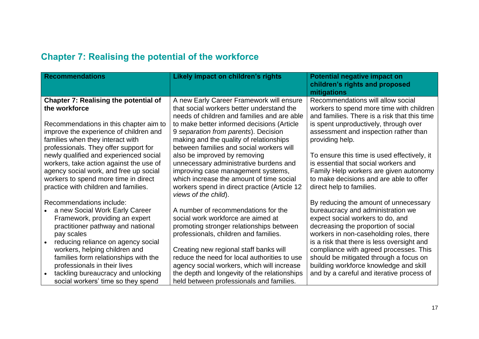| <b>Recommendations</b>                                                                                                                                                                                                               | Likely impact on children's rights                                                                                                                                                                                               | <b>Potential negative impact on</b><br>children's rights and proposed<br>mitigations                                                                                                                                  |
|--------------------------------------------------------------------------------------------------------------------------------------------------------------------------------------------------------------------------------------|----------------------------------------------------------------------------------------------------------------------------------------------------------------------------------------------------------------------------------|-----------------------------------------------------------------------------------------------------------------------------------------------------------------------------------------------------------------------|
| <b>Chapter 7: Realising the potential of</b><br>the workforce                                                                                                                                                                        | A new Early Career Framework will ensure<br>that social workers better understand the<br>needs of children and families and are able                                                                                             | Recommendations will allow social<br>workers to spend more time with children<br>and families. There is a risk that this time                                                                                         |
| Recommendations in this chapter aim to<br>improve the experience of children and<br>families when they interact with<br>professionals. They offer support for                                                                        | to make better informed decisions (Article<br>9 separation from parents). Decision<br>making and the quality of relationships<br>between families and social workers will                                                        | is spent unproductively, through over<br>assessment and inspection rather than<br>providing help.                                                                                                                     |
| newly qualified and experienced social<br>workers, take action against the use of<br>agency social work, and free up social<br>workers to spend more time in direct<br>practice with children and families.                          | also be improved by removing<br>unnecessary administrative burdens and<br>improving case management systems,<br>which increase the amount of time social<br>workers spend in direct practice (Article 12<br>views of the child). | To ensure this time is used effectively, it<br>is essential that social workers and<br>Family Help workers are given autonomy<br>to make decisions and are able to offer<br>direct help to families.                  |
| Recommendations include:<br>a new Social Work Early Career<br>Framework, providing an expert<br>practitioner pathway and national<br>pay scales                                                                                      | A number of recommendations for the<br>social work workforce are aimed at<br>promoting stronger relationships between<br>professionals, children and families.                                                                   | By reducing the amount of unnecessary<br>bureaucracy and administration we<br>expect social workers to do, and<br>decreasing the proportion of social<br>workers in non-caseholding roles, there                      |
| reducing reliance on agency social<br>$\bullet$<br>workers, helping children and<br>families form relationships with the<br>professionals in their lives<br>tackling bureaucracy and unlocking<br>social workers' time so they spend | Creating new regional staff banks will<br>reduce the need for local authorities to use<br>agency social workers, which will increase<br>the depth and longevity of the relationships<br>held between professionals and families. | is a risk that there is less oversight and<br>compliance with agreed processes. This<br>should be mitigated through a focus on<br>building workforce knowledge and skill<br>and by a careful and iterative process of |

#### **Chapter 7: Realising the potential of the workforce**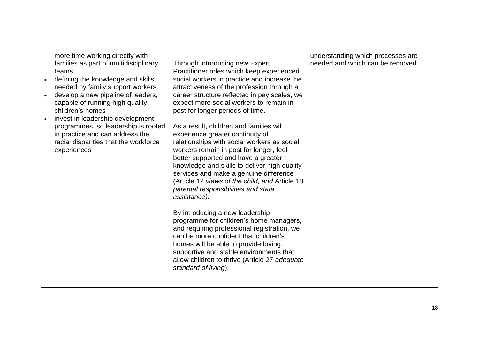| needed by family support workers<br>attractiveness of the profession through a<br>career structure reflected in pay scales, we<br>develop a new pipeline of leaders,<br>capable of running high quality<br>expect more social workers to remain in<br>children's homes<br>post for longer periods of time.<br>invest in leadership development<br>programmes, so leadership is rooted<br>As a result, children and families will<br>in practice and can address the<br>experience greater continuity of<br>relationships with social workers as social<br>racial disparities that the workforce<br>workers remain in post for longer, feel<br>experiences<br>better supported and have a greater<br>knowledge and skills to deliver high quality<br>services and make a genuine difference<br>(Article 12 views of the child, and Article 18<br>parental responsibilities and state<br>assistance).<br>By introducing a new leadership<br>programme for children's home managers,<br>and requiring professional registration, we<br>can be more confident that children's<br>homes will be able to provide loving,<br>supportive and stable environments that<br>allow children to thrive (Article 27 adequate<br>standard of living). | more time working directly with<br>families as part of multidisciplinary<br>teams<br>defining the knowledge and skills | Through introducing new Expert<br>Practitioner roles which keep experienced<br>social workers in practice and increase the | understanding which processes are<br>needed and which can be removed. |
|----------------------------------------------------------------------------------------------------------------------------------------------------------------------------------------------------------------------------------------------------------------------------------------------------------------------------------------------------------------------------------------------------------------------------------------------------------------------------------------------------------------------------------------------------------------------------------------------------------------------------------------------------------------------------------------------------------------------------------------------------------------------------------------------------------------------------------------------------------------------------------------------------------------------------------------------------------------------------------------------------------------------------------------------------------------------------------------------------------------------------------------------------------------------------------------------------------------------------------------|------------------------------------------------------------------------------------------------------------------------|----------------------------------------------------------------------------------------------------------------------------|-----------------------------------------------------------------------|
|----------------------------------------------------------------------------------------------------------------------------------------------------------------------------------------------------------------------------------------------------------------------------------------------------------------------------------------------------------------------------------------------------------------------------------------------------------------------------------------------------------------------------------------------------------------------------------------------------------------------------------------------------------------------------------------------------------------------------------------------------------------------------------------------------------------------------------------------------------------------------------------------------------------------------------------------------------------------------------------------------------------------------------------------------------------------------------------------------------------------------------------------------------------------------------------------------------------------------------------|------------------------------------------------------------------------------------------------------------------------|----------------------------------------------------------------------------------------------------------------------------|-----------------------------------------------------------------------|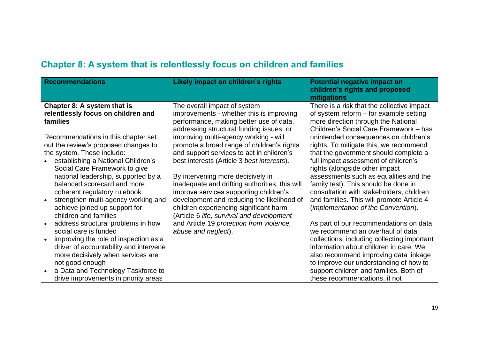#### **Chapter 8: A system that is relentlessly focus on children and families**

<span id="page-18-0"></span>

| <b>Recommendations</b>                                                                                                                                                                                                                                                               | Likely impact on children's rights                                                                                                                                                                                                                                                                               | <b>Potential negative impact on</b><br>children's rights and proposed<br>mitigations                                                                                                                                                                                                                                              |
|--------------------------------------------------------------------------------------------------------------------------------------------------------------------------------------------------------------------------------------------------------------------------------------|------------------------------------------------------------------------------------------------------------------------------------------------------------------------------------------------------------------------------------------------------------------------------------------------------------------|-----------------------------------------------------------------------------------------------------------------------------------------------------------------------------------------------------------------------------------------------------------------------------------------------------------------------------------|
| Chapter 8: A system that is<br>relentlessly focus on children and<br>families<br>Recommendations in this chapter set<br>out the review's proposed changes to<br>the system. These include:                                                                                           | The overall impact of system<br>improvements - whether this is improving<br>performance, making better use of data,<br>addressing structural funding issues, or<br>improving multi-agency working - will<br>promote a broad range of children's rights<br>and support services to act in children's              | There is a risk that the collective impact<br>of system reform $-$ for example setting<br>more direction through the National<br>Children's Social Care Framework - has<br>unintended consequences on children's<br>rights. To mitigate this, we recommend<br>that the government should complete a                               |
| establishing a National Children's<br>Social Care Framework to give<br>national leadership, supported by a<br>balanced scorecard and more<br>coherent regulatory rulebook<br>strengthen multi-agency working and<br>achieve joined up support for<br>children and families           | best interests (Article 3 best interests).<br>By intervening more decisively in<br>inadequate and drifting authorities, this will<br>improve services supporting children's<br>development and reducing the likelihood of<br>children experiencing significant harm<br>(Article 6 life, survival and development | full impact assessment of children's<br>rights (alongside other impact<br>assessments such as equalities and the<br>family test). This should be done in<br>consultation with stakeholders, children<br>and families. This will promote Article 4<br>(implementation of the Convention).                                          |
| address structural problems in how<br>social care is funded<br>improving the role of inspection as a<br>driver of accountability and intervene<br>more decisively when services are<br>not good enough<br>a Data and Technology Taskforce to<br>drive improvements in priority areas | and Article 19 protection from violence,<br>abuse and neglect).                                                                                                                                                                                                                                                  | As part of our recommendations on data<br>we recommend an overhaul of data<br>collections, including collecting important<br>information about children in care. We<br>also recommend improving data linkage<br>to improve our understanding of how to<br>support children and families. Both of<br>these recommendations, if not |